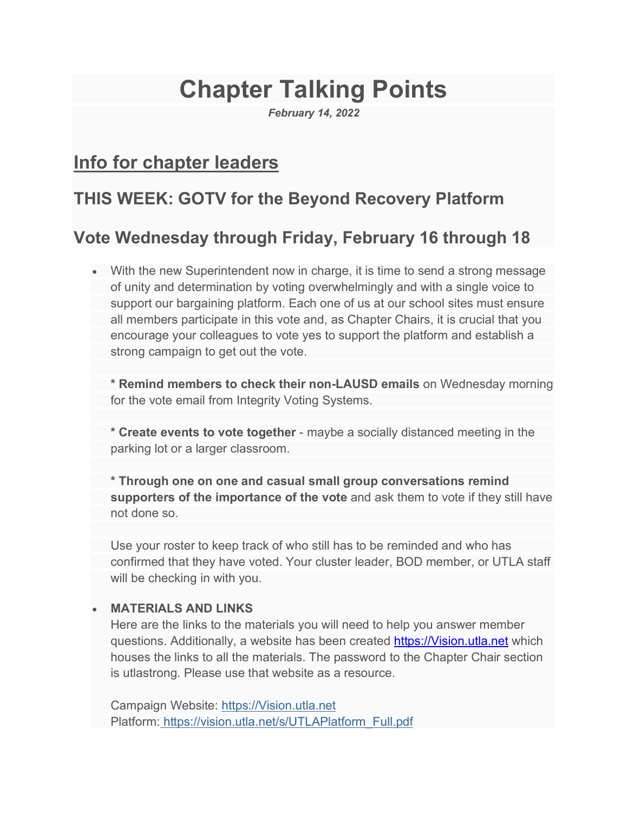# **Chapter Talking Points**

*February 14, 2022*

# **Info for chapter leaders**

# **THIS WEEK: GOTV for the Beyond Recovery Platform**

# **Vote Wednesday through Friday, February 16 through 18**

• With the new Superintendent now in charge, it is time to send a strong message of unity and determination by voting overwhelmingly and with a single voice to support our bargaining platform. Each one of us at our school sites must ensure all members participate in this vote and, as Chapter Chairs, it is crucial that you encourage your colleagues to vote yes to support the platform and establish a strong campaign to get out the vote.

**\* Remind members to check their non-LAUSD emails** on Wednesday morning for the vote email from Integrity Voting Systems.

**\* Create events to vote together** - maybe a socially distanced meeting in the parking lot or a larger classroom.

**\* Through one on one and casual small group conversations remind supporters of the importance of the vote** and ask them to vote if they still have not done so.

Use your roster to keep track of who still has to be reminded and who has confirmed that they have voted. Your cluster leader, BOD member, or UTLA staff will be checking in with you.

#### • **MATERIALS AND LINKS**

Here are the links to the materials you will need to help you answer member questions. Additionally, a website has been created https://Vision.utla.net which houses the links to all the materials. The password to the Chapter Chair section is utlastrong. Please use that website as a resource.

Campaign Website: https://Vision.utla.net Platform: https://vision.utla.net/s/UTLAPlatform\_Full.pdf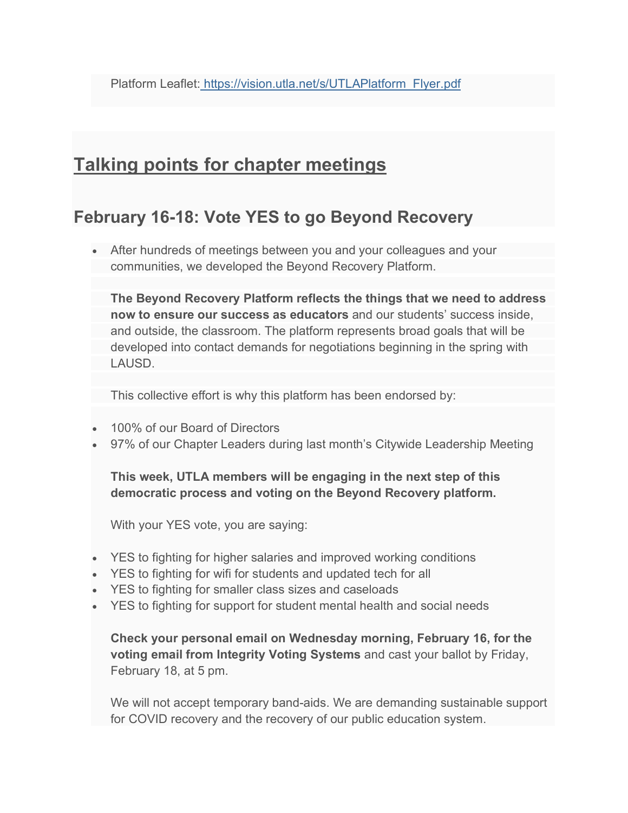# **Talking points for chapter meetings**

### **February 16-18: Vote YES to go Beyond Recovery**

• After hundreds of meetings between you and your colleagues and your communities, we developed the Beyond Recovery Platform.

**The Beyond Recovery Platform reflects the things that we need to address now to ensure our success as educators** and our students' success inside, and outside, the classroom. The platform represents broad goals that will be developed into contact demands for negotiations beginning in the spring with LAUSD.

This collective effort is why this platform has been endorsed by:

- 100% of our Board of Directors
- 97% of our Chapter Leaders during last month's Citywide Leadership Meeting

**This week, UTLA members will be engaging in the next step of this democratic process and voting on the Beyond Recovery platform.**

With your YES vote, you are saying:

- YES to fighting for higher salaries and improved working conditions
- YES to fighting for wifi for students and updated tech for all
- YES to fighting for smaller class sizes and caseloads
- YES to fighting for support for student mental health and social needs

**Check your personal email on Wednesday morning, February 16, for the voting email from Integrity Voting Systems** and cast your ballot by Friday, February 18, at 5 pm.

We will not accept temporary band-aids. We are demanding sustainable support for COVID recovery and the recovery of our public education system.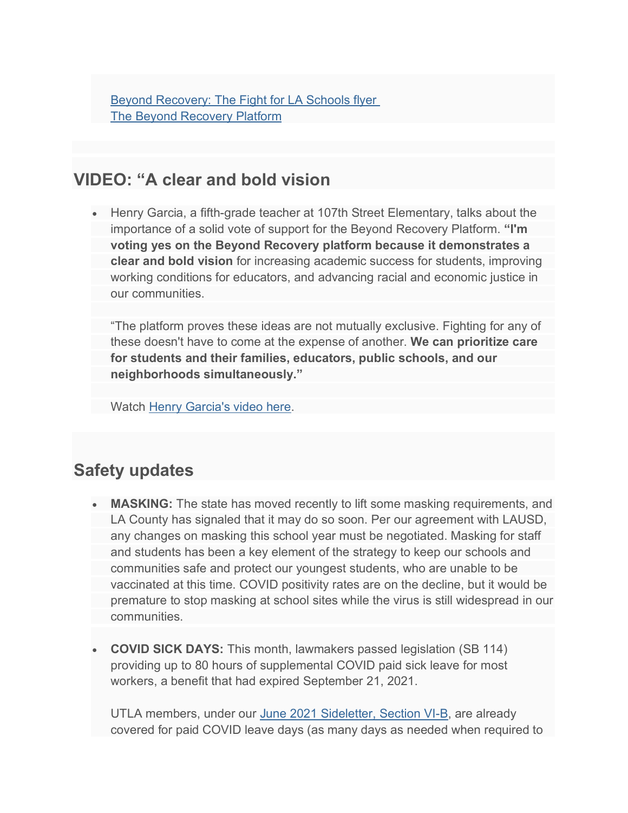Beyond Recovery: The Fight for LA Schools flyer The Beyond Recovery Platform

#### **VIDEO: "A clear and bold vision**

• Henry Garcia, a fifth-grade teacher at 107th Street Elementary, talks about the importance of a solid vote of support for the Beyond Recovery Platform. **"I'm voting yes on the Beyond Recovery platform because it demonstrates a clear and bold vision** for increasing academic success for students, improving working conditions for educators, and advancing racial and economic justice in our communities.

"The platform proves these ideas are not mutually exclusive. Fighting for any of these doesn't have to come at the expense of another. **We can prioritize care for students and their families, educators, public schools, and our neighborhoods simultaneously."**

Watch Henry Garcia's video here.

#### **Safety updates**

- **MASKING:** The state has moved recently to lift some masking requirements, and LA County has signaled that it may do so soon. Per our agreement with LAUSD, any changes on masking this school year must be negotiated. Masking for staff and students has been a key element of the strategy to keep our schools and communities safe and protect our youngest students, who are unable to be vaccinated at this time. COVID positivity rates are on the decline, but it would be premature to stop masking at school sites while the virus is still widespread in our communities.
- **COVID SICK DAYS:** This month, lawmakers passed legislation (SB 114) providing up to 80 hours of supplemental COVID paid sick leave for most workers, a benefit that had expired September 21, 2021.

UTLA members, under our June 2021 Sideletter, Section VI-B, are already covered for paid COVID leave days (as many days as needed when required to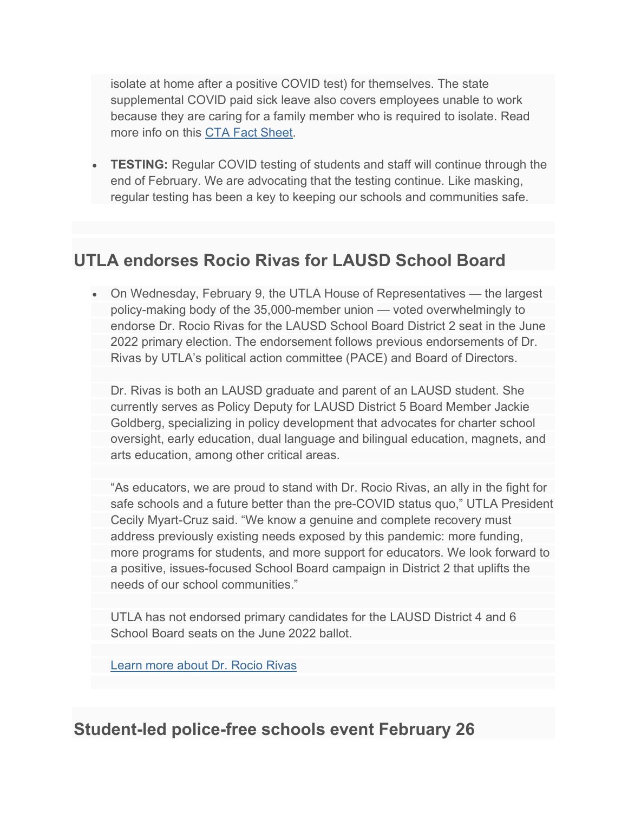isolate at home after a positive COVID test) for themselves. The state supplemental COVID paid sick leave also covers employees unable to work because they are caring for a family member who is required to isolate. Read more info on this CTA Fact Sheet.

• **TESTING:** Regular COVID testing of students and staff will continue through the end of February. We are advocating that the testing continue. Like masking, regular testing has been a key to keeping our schools and communities safe.

#### **UTLA endorses Rocio Rivas for LAUSD School Board**

• On Wednesday, February 9, the UTLA House of Representatives — the largest policy-making body of the 35,000-member union — voted overwhelmingly to endorse Dr. Rocio Rivas for the LAUSD School Board District 2 seat in the June 2022 primary election. The endorsement follows previous endorsements of Dr. Rivas by UTLA's political action committee (PACE) and Board of Directors.

Dr. Rivas is both an LAUSD graduate and parent of an LAUSD student. She currently serves as Policy Deputy for LAUSD District 5 Board Member Jackie Goldberg, specializing in policy development that advocates for charter school oversight, early education, dual language and bilingual education, magnets, and arts education, among other critical areas.

"As educators, we are proud to stand with Dr. Rocio Rivas, an ally in the fight for safe schools and a future better than the pre-COVID status quo," UTLA President Cecily Myart-Cruz said. "We know a genuine and complete recovery must address previously existing needs exposed by this pandemic: more funding, more programs for students, and more support for educators. We look forward to a positive, issues-focused School Board campaign in District 2 that uplifts the needs of our school communities."

UTLA has not endorsed primary candidates for the LAUSD District 4 and 6 School Board seats on the June 2022 ballot.

Learn more about Dr. Rocio Rivas

## **Student-led police-free schools event February 26**